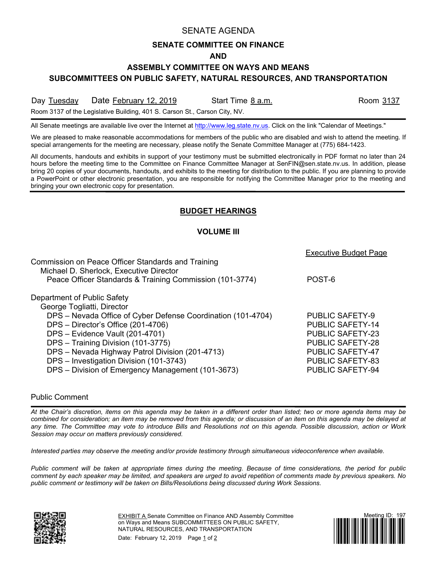## SENATE AGENDA

## **SENATE COMMITTEE ON FINANCE**

#### **AND**

## **ASSEMBLY COMMITTEE ON WAYS AND MEANS**

**SUBCOMMITTEES ON PUBLIC SAFETY, NATURAL RESOURCES, AND TRANSPORTATION**

Day Tuesday Date February 12, 2019 Start Time 8 a.m. Start Start Time 3 a.m.

Room 3137 of the Legislative Building, 401 S. Carson St., Carson City, NV.

All Senate meetings are available live over the Internet at [http://www.leg.state.nv.us.](http://www.leg.state.nv.us/) Click on the link "Calendar of Meetings."

We are pleased to make reasonable accommodations for members of the public who are disabled and wish to attend the meeting. If special arrangements for the meeting are necessary, please notify the Senate Committee Manager at (775) 684-1423.

All documents, handouts and exhibits in support of your testimony must be submitted electronically in PDF format no later than 24 hours before the meeting time to the Committee on Finance Committee Manager at SenFIN@sen.state.nv.us. In addition, please bring 20 copies of your documents, handouts, and exhibits to the meeting for distribution to the public. If you are planning to provide a PowerPoint or other electronic presentation, you are responsible for notifying the Committee Manager prior to the meeting and bringing your own electronic copy for presentation.

# **BUDGET HEARINGS**

#### **VOLUME III**

|                                                              | <b>Executive Budget Page</b> |
|--------------------------------------------------------------|------------------------------|
| Commission on Peace Officer Standards and Training           |                              |
| Michael D. Sherlock, Executive Director                      |                              |
| Peace Officer Standards & Training Commission (101-3774)     | POST-6                       |
| Department of Public Safety                                  |                              |
| George Togliatti, Director                                   |                              |
| DPS - Nevada Office of Cyber Defense Coordination (101-4704) | <b>PUBLIC SAFETY-9</b>       |
| DPS - Director's Office (201-4706)                           | <b>PUBLIC SAFETY-14</b>      |
| DPS - Evidence Vault (201-4701)                              | <b>PUBLIC SAFETY-23</b>      |
| DPS - Training Division (101-3775)                           | <b>PUBLIC SAFETY-28</b>      |
| DPS - Nevada Highway Patrol Division (201-4713)              | <b>PUBLIC SAFETY-47</b>      |
| DPS - Investigation Division (101-3743)                      | <b>PUBLIC SAFETY-83</b>      |
| DPS - Division of Emergency Management (101-3673)            | <b>PUBLIC SAFETY-94</b>      |
|                                                              |                              |

#### Public Comment

*At the Chair's discretion, items on this agenda may be taken in a different order than listed; two or more agenda items may be combined for consideration; an item may be removed from this agenda; or discussion of an item on this agenda may be delayed at any time. The Committee may vote to introduce Bills and Resolutions not on this agenda. Possible discussion, action or Work Session may occur on matters previously considered.*

*Interested parties may observe the meeting and/or provide testimony through simultaneous videoconference when available.*

*Public comment will be taken at appropriate times during the meeting. Because of time considerations, the period for public comment by each speaker may be limited, and speakers are urged to avoid repetition of comments made by previous speakers. No public comment or testimony will be taken on Bills/Resolutions being discussed during Work Sessions.*



EXHIBIT A Senate Committee on Finance AND Assembly Committee on Ways and Means SUBCOMMITTEES ON PUBLIC SAFETY, NATURAL RESOURCES, AND TRANSPORTATION

Date: February 12, 2019 Page 1 of 2